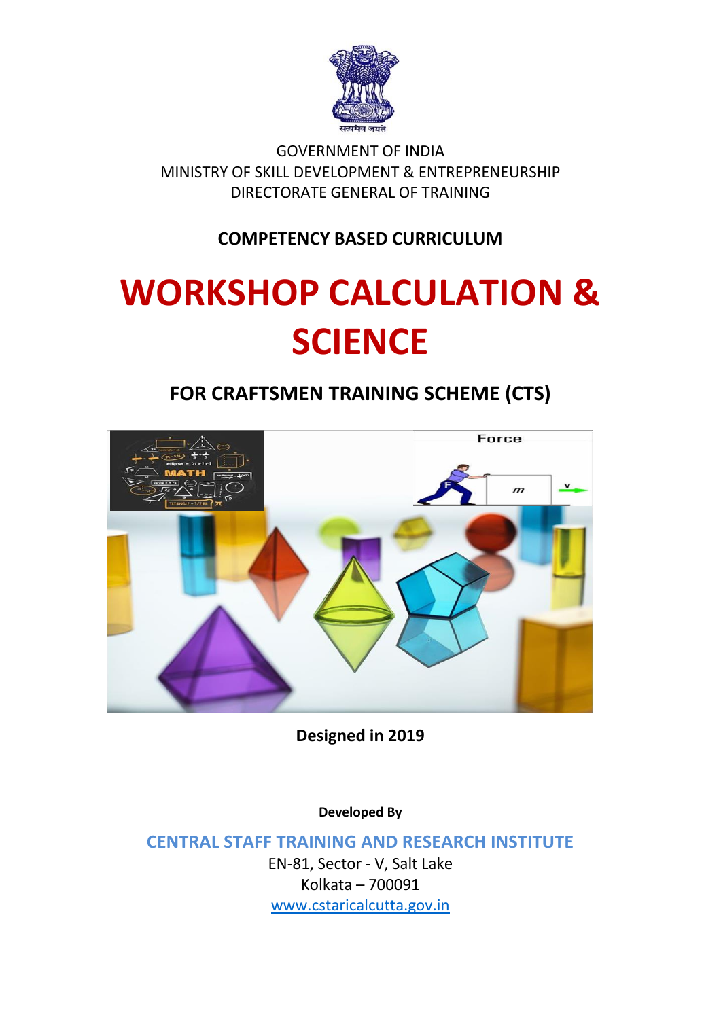

GOVERNMENT OF INDIA MINISTRY OF SKILL DEVELOPMENT & ENTREPRENEURSHIP DIRECTORATE GENERAL OF TRAINING

**COMPETENCY BASED CURRICULUM**

# **WORKSHOP CALCULATION & SCIENCE**

**FOR CRAFTSMEN TRAINING SCHEME (CTS)**



**Designed in 2019**

**Developed By**

**CENTRAL STAFF TRAINING AND RESEARCH INSTITUTE** EN-81, Sector - V, Salt Lake Kolkata – 700091 [www.cstaricalcutta.gov.in](http://www.cstaricalcutta.gov.in/)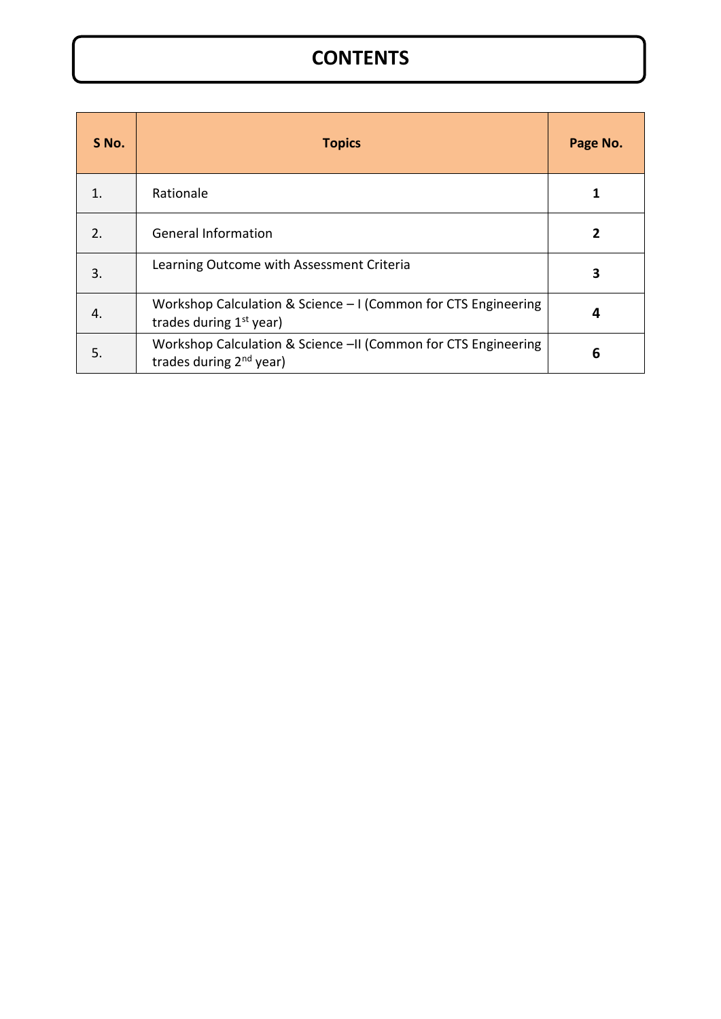## **CONTENTS**

| S No.                 | <b>Topics</b>                                                                                         | Page No. |
|-----------------------|-------------------------------------------------------------------------------------------------------|----------|
|                       | Rationale                                                                                             |          |
| $\mathcal{P}_{\cdot}$ | <b>General Information</b>                                                                            |          |
| 3.                    | Learning Outcome with Assessment Criteria                                                             | 3        |
| 4.                    | Workshop Calculation & Science - I (Common for CTS Engineering<br>trades during $1st$ year)           | 4        |
| 5.                    | Workshop Calculation & Science -II (Common for CTS Engineering<br>trades during 2 <sup>nd</sup> year) | 6        |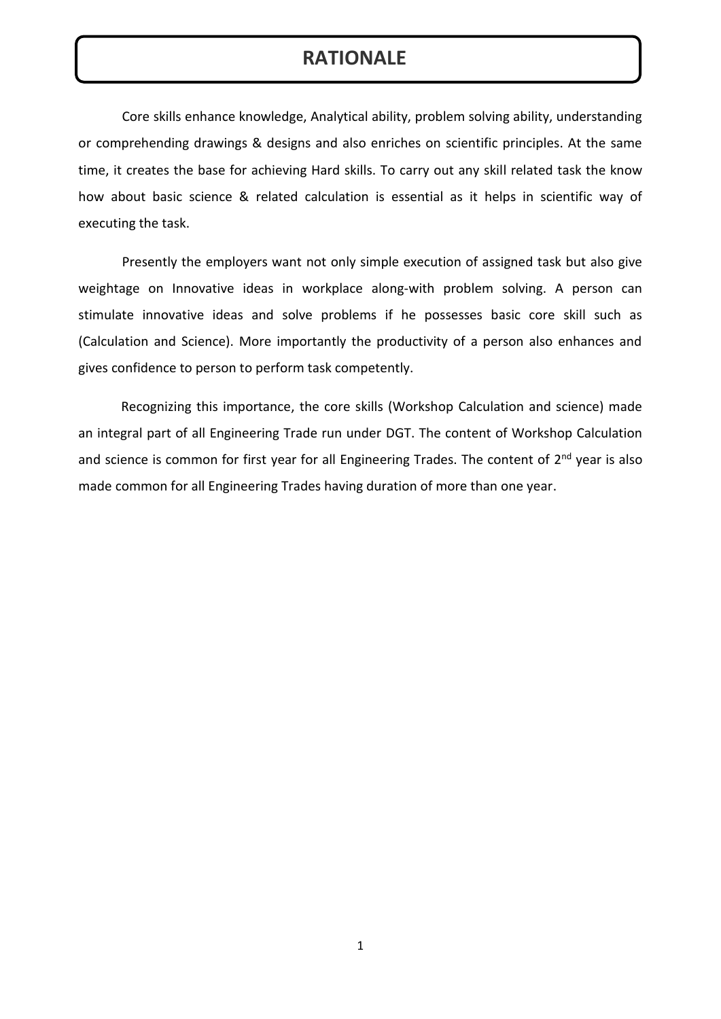#### **RATIONALE**

Core skills enhance knowledge, Analytical ability, problem solving ability, understanding or comprehending drawings & designs and also enriches on scientific principles. At the same time, it creates the base for achieving Hard skills. To carry out any skill related task the know how about basic science & related calculation is essential as it helps in scientific way of executing the task.

Presently the employers want not only simple execution of assigned task but also give weightage on Innovative ideas in workplace along-with problem solving. A person can stimulate innovative ideas and solve problems if he possesses basic core skill such as (Calculation and Science). More importantly the productivity of a person also enhances and gives confidence to person to perform task competently.

Recognizing this importance, the core skills (Workshop Calculation and science) made an integral part of all Engineering Trade run under DGT. The content of Workshop Calculation and science is common for first year for all Engineering Trades. The content of 2<sup>nd</sup> year is also made common for all Engineering Trades having duration of more than one year.

1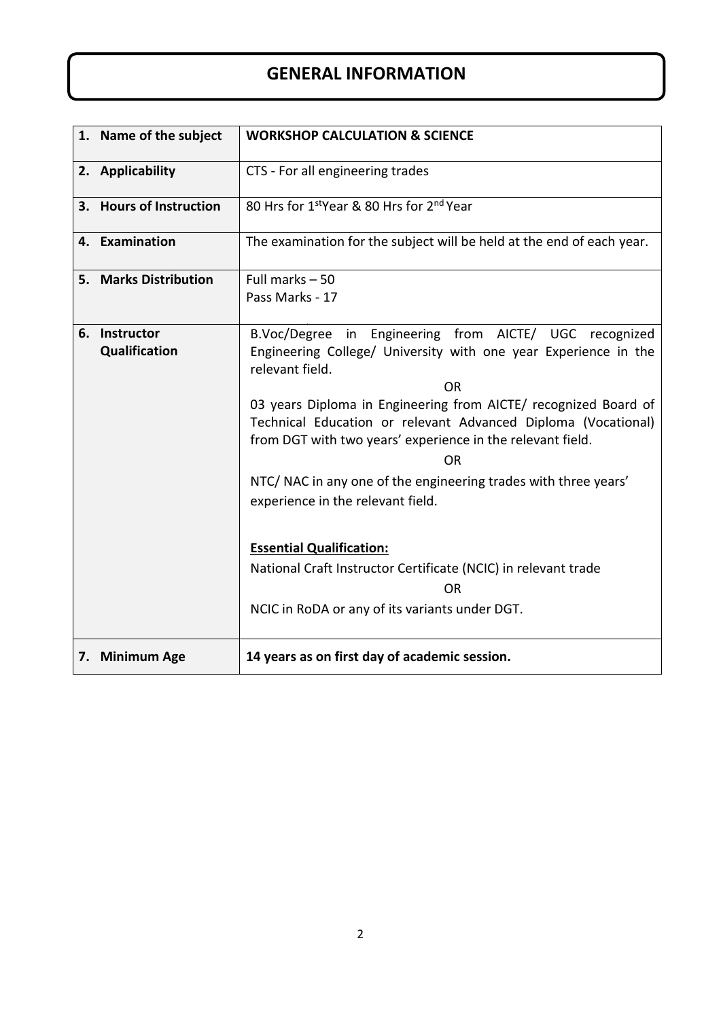#### **GENERAL INFORMATION**

| 1. Name of the subject         | <b>WORKSHOP CALCULATION &amp; SCIENCE</b>                                                                                                                                                                                                                                                                                                                                                                                                                                        |
|--------------------------------|----------------------------------------------------------------------------------------------------------------------------------------------------------------------------------------------------------------------------------------------------------------------------------------------------------------------------------------------------------------------------------------------------------------------------------------------------------------------------------|
| 2. Applicability               | CTS - For all engineering trades                                                                                                                                                                                                                                                                                                                                                                                                                                                 |
| 3. Hours of Instruction        | 80 Hrs for 1stYear & 80 Hrs for 2nd Year                                                                                                                                                                                                                                                                                                                                                                                                                                         |
| 4. Examination                 | The examination for the subject will be held at the end of each year.                                                                                                                                                                                                                                                                                                                                                                                                            |
| 5. Marks Distribution          | Full marks $-50$                                                                                                                                                                                                                                                                                                                                                                                                                                                                 |
|                                | Pass Marks - 17                                                                                                                                                                                                                                                                                                                                                                                                                                                                  |
| 6. Instructor<br>Qualification | B.Voc/Degree in Engineering from AICTE/ UGC recognized<br>Engineering College/ University with one year Experience in the<br>relevant field.<br><b>OR</b><br>03 years Diploma in Engineering from AICTE/ recognized Board of<br>Technical Education or relevant Advanced Diploma (Vocational)<br>from DGT with two years' experience in the relevant field.<br><b>OR</b><br>NTC/ NAC in any one of the engineering trades with three years'<br>experience in the relevant field. |
|                                | <b>Essential Qualification:</b><br>National Craft Instructor Certificate (NCIC) in relevant trade<br><b>OR</b><br>NCIC in RoDA or any of its variants under DGT.                                                                                                                                                                                                                                                                                                                 |
| 7. Minimum Age                 | 14 years as on first day of academic session.                                                                                                                                                                                                                                                                                                                                                                                                                                    |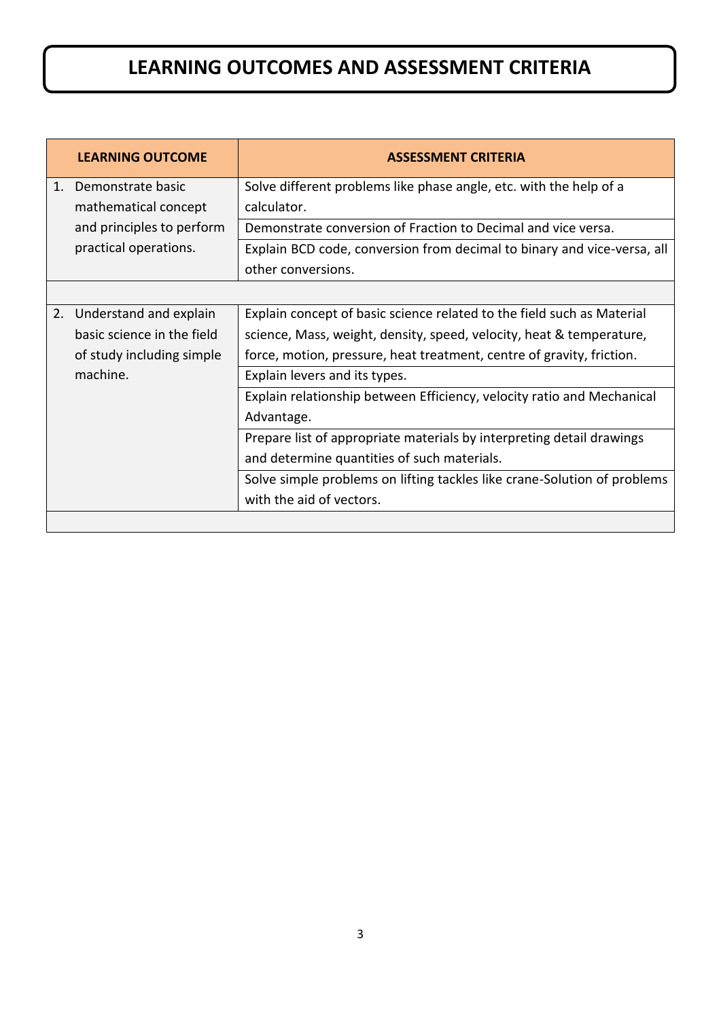## **LEARNING OUTCOMES AND ASSESSMENT CRITERIA**

|                | <b>LEARNING OUTCOME</b>    | <b>ASSESSMENT CRITERIA</b>                                               |
|----------------|----------------------------|--------------------------------------------------------------------------|
| $\mathbf{1}$ . | Demonstrate basic          | Solve different problems like phase angle, etc. with the help of a       |
|                | mathematical concept       | calculator.                                                              |
|                | and principles to perform  | Demonstrate conversion of Fraction to Decimal and vice versa.            |
|                | practical operations.      | Explain BCD code, conversion from decimal to binary and vice-versa, all  |
|                |                            | other conversions.                                                       |
|                |                            |                                                                          |
|                | 2. Understand and explain  | Explain concept of basic science related to the field such as Material   |
|                | basic science in the field | science, Mass, weight, density, speed, velocity, heat & temperature,     |
|                | of study including simple  | force, motion, pressure, heat treatment, centre of gravity, friction.    |
|                | machine.                   | Explain levers and its types.                                            |
|                |                            | Explain relationship between Efficiency, velocity ratio and Mechanical   |
|                |                            | Advantage.                                                               |
|                |                            | Prepare list of appropriate materials by interpreting detail drawings    |
|                |                            | and determine quantities of such materials.                              |
|                |                            | Solve simple problems on lifting tackles like crane-Solution of problems |
|                |                            | with the aid of vectors.                                                 |
|                |                            |                                                                          |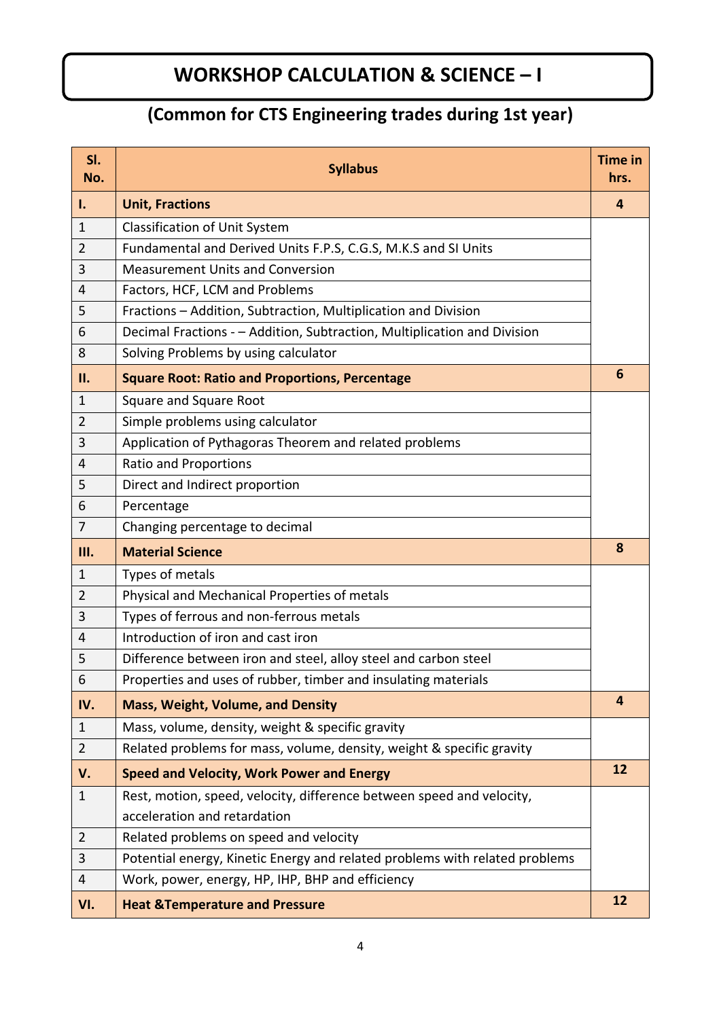## **WORKSHOP CALCULATION & SCIENCE – I**

#### **(Common for CTS Engineering trades during 1st year)**

| SI.<br>No.     | <b>Syllabus</b>                                                             | <b>Time in</b><br>hrs. |
|----------------|-----------------------------------------------------------------------------|------------------------|
| Τ.             | <b>Unit, Fractions</b>                                                      | 4                      |
| $\mathbf{1}$   | <b>Classification of Unit System</b>                                        |                        |
| $\overline{2}$ | Fundamental and Derived Units F.P.S, C.G.S, M.K.S and SI Units              |                        |
| 3              | <b>Measurement Units and Conversion</b>                                     |                        |
| 4              | Factors, HCF, LCM and Problems                                              |                        |
| 5              | Fractions - Addition, Subtraction, Multiplication and Division              |                        |
| 6              | Decimal Fractions - - Addition, Subtraction, Multiplication and Division    |                        |
| 8              | Solving Problems by using calculator                                        |                        |
| П.             | <b>Square Root: Ratio and Proportions, Percentage</b>                       | 6                      |
| $\mathbf{1}$   | Square and Square Root                                                      |                        |
| $\overline{2}$ | Simple problems using calculator                                            |                        |
| 3              | Application of Pythagoras Theorem and related problems                      |                        |
| 4              | <b>Ratio and Proportions</b>                                                |                        |
| 5              | Direct and Indirect proportion                                              |                        |
| 6              | Percentage                                                                  |                        |
| $\overline{7}$ | Changing percentage to decimal                                              |                        |
| Ш.             | <b>Material Science</b>                                                     | 8                      |
| $\mathbf{1}$   | Types of metals                                                             |                        |
| $\overline{2}$ | Physical and Mechanical Properties of metals                                |                        |
| 3              | Types of ferrous and non-ferrous metals                                     |                        |
| 4              | Introduction of iron and cast iron                                          |                        |
| 5              | Difference between iron and steel, alloy steel and carbon steel             |                        |
| 6              | Properties and uses of rubber, timber and insulating materials              |                        |
| IV.            | <b>Mass, Weight, Volume, and Density</b>                                    | 4                      |
| $\mathbf{1}$   | Mass, volume, density, weight & specific gravity                            |                        |
| $\overline{2}$ | Related problems for mass, volume, density, weight & specific gravity       |                        |
| V.             | <b>Speed and Velocity, Work Power and Energy</b>                            | 12                     |
| $\mathbf{1}$   | Rest, motion, speed, velocity, difference between speed and velocity,       |                        |
|                | acceleration and retardation                                                |                        |
| $\overline{2}$ | Related problems on speed and velocity                                      |                        |
| 3              | Potential energy, Kinetic Energy and related problems with related problems |                        |
| 4              | Work, power, energy, HP, IHP, BHP and efficiency                            |                        |
| VI.            | <b>Heat &amp;Temperature and Pressure</b>                                   | 12                     |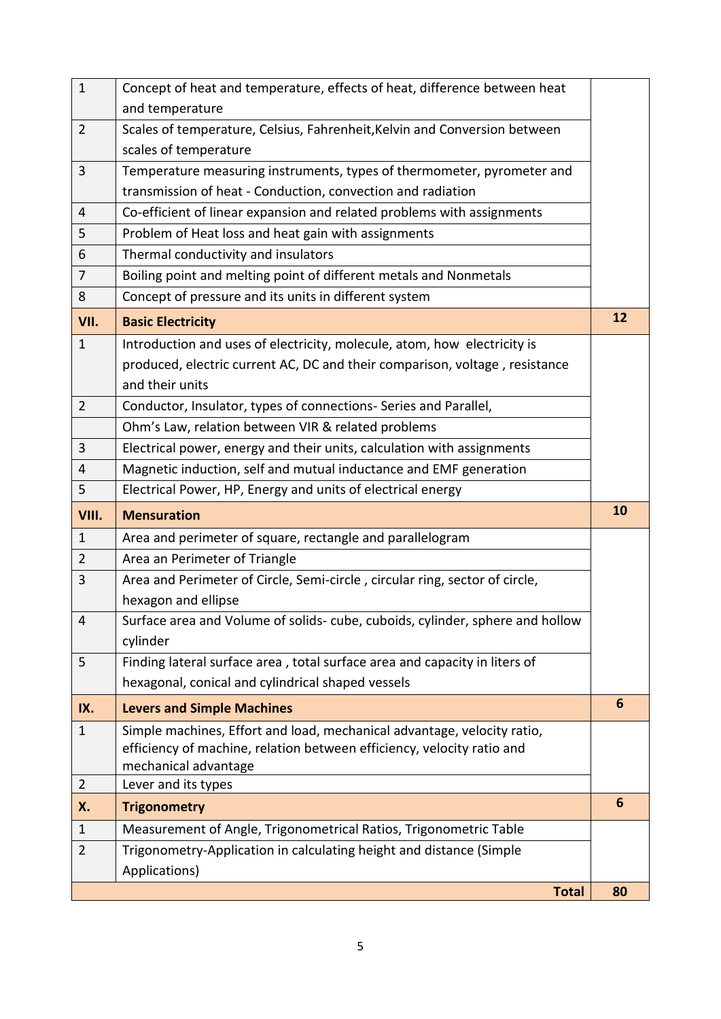| $\mathbf{1}$   | Concept of heat and temperature, effects of heat, difference between heat     |    |
|----------------|-------------------------------------------------------------------------------|----|
|                | and temperature                                                               |    |
| $\overline{2}$ | Scales of temperature, Celsius, Fahrenheit, Kelvin and Conversion between     |    |
|                | scales of temperature                                                         |    |
| 3              | Temperature measuring instruments, types of thermometer, pyrometer and        |    |
|                | transmission of heat - Conduction, convection and radiation                   |    |
| 4              | Co-efficient of linear expansion and related problems with assignments        |    |
| 5              | Problem of Heat loss and heat gain with assignments                           |    |
| 6              | Thermal conductivity and insulators                                           |    |
| $\overline{7}$ | Boiling point and melting point of different metals and Nonmetals             |    |
| 8              | Concept of pressure and its units in different system                         |    |
| VII.           | <b>Basic Electricity</b>                                                      | 12 |
| $\mathbf{1}$   | Introduction and uses of electricity, molecule, atom, how electricity is      |    |
|                | produced, electric current AC, DC and their comparison, voltage, resistance   |    |
|                | and their units                                                               |    |
| $\overline{2}$ | Conductor, Insulator, types of connections- Series and Parallel,              |    |
|                | Ohm's Law, relation between VIR & related problems                            |    |
| 3              | Electrical power, energy and their units, calculation with assignments        |    |
| 4              | Magnetic induction, self and mutual inductance and EMF generation             |    |
| 5              | Electrical Power, HP, Energy and units of electrical energy                   |    |
| VIII.          | <b>Mensuration</b>                                                            | 10 |
| $\mathbf{1}$   | Area and perimeter of square, rectangle and parallelogram                     |    |
| $\overline{2}$ | Area an Perimeter of Triangle                                                 |    |
| 3              | Area and Perimeter of Circle, Semi-circle, circular ring, sector of circle,   |    |
|                | hexagon and ellipse                                                           |    |
| 4              | Surface area and Volume of solids- cube, cuboids, cylinder, sphere and hollow |    |
|                | cylinder                                                                      |    |
| 5              | Finding lateral surface area, total surface area and capacity in liters of    |    |
|                | hexagonal, conical and cylindrical shaped vessels                             |    |
| IX.            | <b>Levers and Simple Machines</b>                                             | 6  |
| $\mathbf{1}$   | Simple machines, Effort and load, mechanical advantage, velocity ratio,       |    |
|                | efficiency of machine, relation between efficiency, velocity ratio and        |    |
|                | mechanical advantage                                                          |    |
| $\overline{2}$ | Lever and its types                                                           |    |
| Х.             | <b>Trigonometry</b>                                                           | 6  |
| $\mathbf{1}$   | Measurement of Angle, Trigonometrical Ratios, Trigonometric Table             |    |
| $\overline{2}$ | Trigonometry-Application in calculating height and distance (Simple           |    |
|                | Applications)                                                                 |    |
|                | <b>Total</b>                                                                  | 80 |